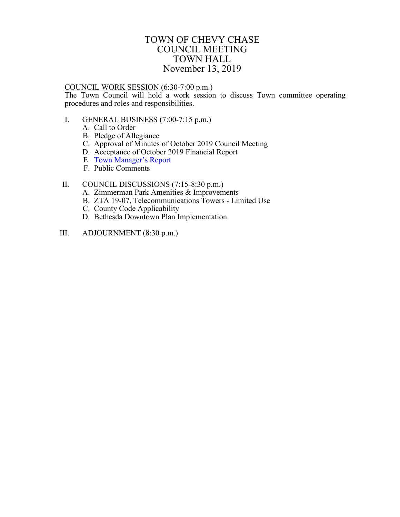## TOWN OF CHEVY CHASE COUNCIL MEETING TOWN HALL November 13, 2019

## <span id="page-0-0"></span>COUNCIL WORK SESSION (6:30-7:00 p.m.)

The Town Council will hold a work session to discuss Town committee operating procedures and roles and responsibilities.

- I. GENERAL BUSINESS (7:00-7:15 p.m.)
	- A. Call to Order
	- B. Pledge of Allegiance
	- C. Approval of Minutes of October 2019 Council Meeting
	- D. Acceptance of October 2019 Financial Report
	- E. Town [Manager's Report](#page-1-0)
	- F. Public Comments

## II. COUNCIL DISCUSSIONS (7:15-8:30 p.m.)

- A. Zimmerman Park Amenities & Improvements
- B. ZTA 19-07, Telecommunications Towers Limited Use
- C. County Code Applicability
- D. Bethesda Downtown Plan Implementation
- III. ADJOURNMENT (8:30 p.m.)